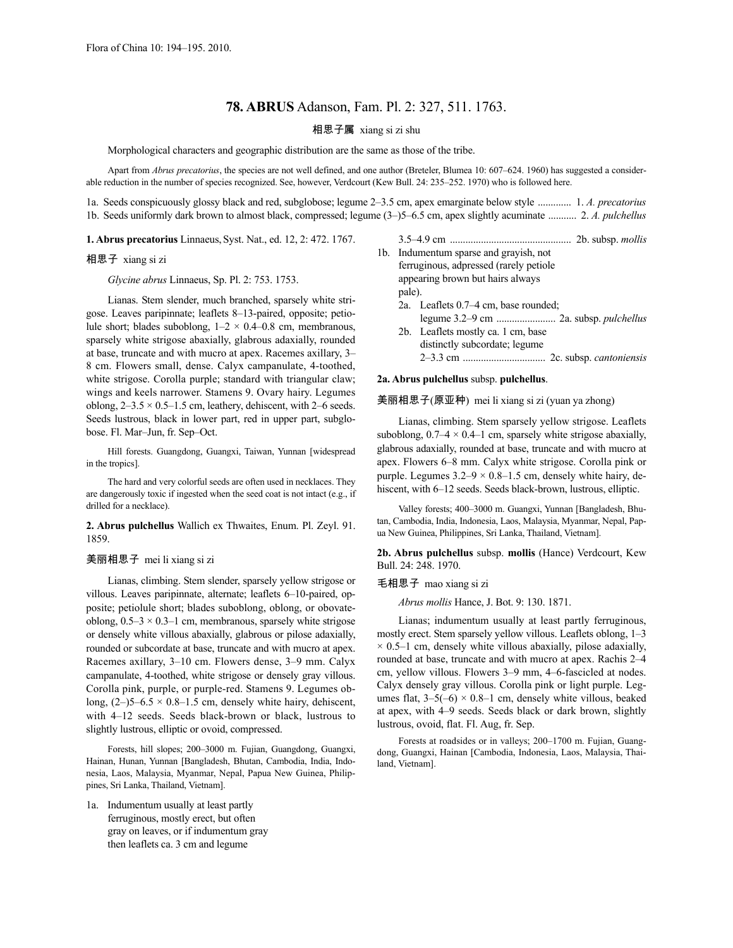# **78. ABRUS** Adanson, Fam. Pl. 2: 327, 511. 1763.

## 相思子属 xiang si zi shu

Morphological characters and geographic distribution are the same as those of the tribe.

Apart from *Abrus precatorius*, the species are not well defined, and one author (Breteler, Blumea 10: 607–624. 1960) has suggested a considerable reduction in the number of species recognized. See, however, Verdcourt (Kew Bull. 24: 235–252. 1970) who is followed here.

1a. Seeds conspicuously glossy black and red, subglobose; legume 2–3.5 cm, apex emarginate below style ............. 1. *A. precatorius* 1b. Seeds uniformly dark brown to almost black, compressed; legume (3–)5–6.5 cm, apex slightly acuminate ........... 2. *A. pulchellus*

**1. Abrus precatorius** Linnaeus, Syst. Nat., ed. 12, 2: 472. 1767.

### 相思子 xiang si zi

*Glycine abrus* Linnaeus, Sp. Pl. 2: 753. 1753.

Lianas. Stem slender, much branched, sparsely white strigose. Leaves paripinnate; leaflets 8–13-paired, opposite; petiolule short; blades suboblong,  $1-2 \times 0.4-0.8$  cm, membranous, sparsely white strigose abaxially, glabrous adaxially, rounded at base, truncate and with mucro at apex. Racemes axillary, 3– 8 cm. Flowers small, dense. Calyx campanulate, 4-toothed, white strigose. Corolla purple; standard with triangular claw; wings and keels narrower. Stamens 9. Ovary hairy. Legumes oblong,  $2-3.5 \times 0.5-1.5$  cm, leathery, dehiscent, with 2-6 seeds. Seeds lustrous, black in lower part, red in upper part, subglobose. Fl. Mar–Jun, fr. Sep–Oct.

Hill forests. Guangdong, Guangxi, Taiwan, Yunnan [widespread in the tropics].

The hard and very colorful seeds are often used in necklaces. They are dangerously toxic if ingested when the seed coat is not intact (e.g., if drilled for a necklace).

**2. Abrus pulchellus** Wallich ex Thwaites, Enum. Pl. Zeyl. 91. 1859.

### 美丽相思子 mei li xiang si zi

Lianas, climbing. Stem slender, sparsely yellow strigose or villous. Leaves paripinnate, alternate; leaflets 6–10-paired, opposite; petiolule short; blades suboblong, oblong, or obovateoblong,  $0.5-3 \times 0.3-1$  cm, membranous, sparsely white strigose or densely white villous abaxially, glabrous or pilose adaxially, rounded or subcordate at base, truncate and with mucro at apex. Racemes axillary, 3–10 cm. Flowers dense, 3–9 mm. Calyx campanulate, 4-toothed, white strigose or densely gray villous. Corolla pink, purple, or purple-red. Stamens 9. Legumes oblong,  $(2-)5-6.5 \times 0.8-1.5$  cm, densely white hairy, dehiscent, with 4–12 seeds. Seeds black-brown or black, lustrous to slightly lustrous, elliptic or ovoid, compressed.

Forests, hill slopes; 200–3000 m. Fujian, Guangdong, Guangxi, Hainan, Hunan, Yunnan [Bangladesh, Bhutan, Cambodia, India, Indonesia, Laos, Malaysia, Myanmar, Nepal, Papua New Guinea, Philippines, Sri Lanka, Thailand, Vietnam].

1a. Indumentum usually at least partly ferruginous, mostly erect, but often gray on leaves, or if indumentum gray then leaflets ca. 3 cm and legume

|                                         | 2b. subsp. <i>mollis</i>             |
|-----------------------------------------|--------------------------------------|
| 1b. Indumentum sparse and gravish, not  |                                      |
| ferruginous, adpressed (rarely petiole) |                                      |
| appearing brown but hairs always        |                                      |
| pale).                                  |                                      |
|                                         | 2a. Leaflets 0.7–4 cm, base rounded; |
|                                         |                                      |
|                                         | 2b. Leaflets mostly ca. 1 cm, base   |
|                                         | distinctly subcordate; legume        |
|                                         |                                      |

**2a. Abrus pulchellus** subsp. **pulchellus**.

美丽相思子(原亚种) mei li xiang si zi (yuan ya zhong)

Lianas, climbing. Stem sparsely yellow strigose. Leaflets suboblong,  $0.7-4 \times 0.4-1$  cm, sparsely white strigose abaxially, glabrous adaxially, rounded at base, truncate and with mucro at apex. Flowers 6–8 mm. Calyx white strigose. Corolla pink or purple. Legumes  $3.2-9 \times 0.8-1.5$  cm, densely white hairy, dehiscent, with  $6-12$  seeds. Seeds black-brown, lustrous, elliptic.

Valley forests; 400–3000 m. Guangxi, Yunnan [Bangladesh, Bhutan, Cambodia, India, Indonesia, Laos, Malaysia, Myanmar, Nepal, Papua New Guinea, Philippines, Sri Lanka, Thailand, Vietnam].

**2b. Abrus pulchellus** subsp. **mollis** (Hance) Verdcourt, Kew Bull. 24: 248. 1970.

### 毛相思子 mao xiang si zi

*Abrus mollis* Hance, J. Bot. 9: 130. 1871.

Lianas; indumentum usually at least partly ferruginous, mostly erect. Stem sparsely yellow villous. Leaflets oblong, 1–3  $\times$  0.5–1 cm, densely white villous abaxially, pilose adaxially, rounded at base, truncate and with mucro at apex. Rachis 2–4 cm, yellow villous. Flowers 3–9 mm, 4–6-fascicled at nodes. Calyx densely gray villous. Corolla pink or light purple. Legumes flat,  $3-5(-6) \times 0.8-1$  cm, densely white villous, beaked at apex, with 4–9 seeds. Seeds black or dark brown, slightly lustrous, ovoid, flat. Fl. Aug, fr. Sep.

Forests at roadsides or in valleys; 200–1700 m. Fujian, Guangdong, Guangxi, Hainan [Cambodia, Indonesia, Laos, Malaysia, Thailand, Vietnam].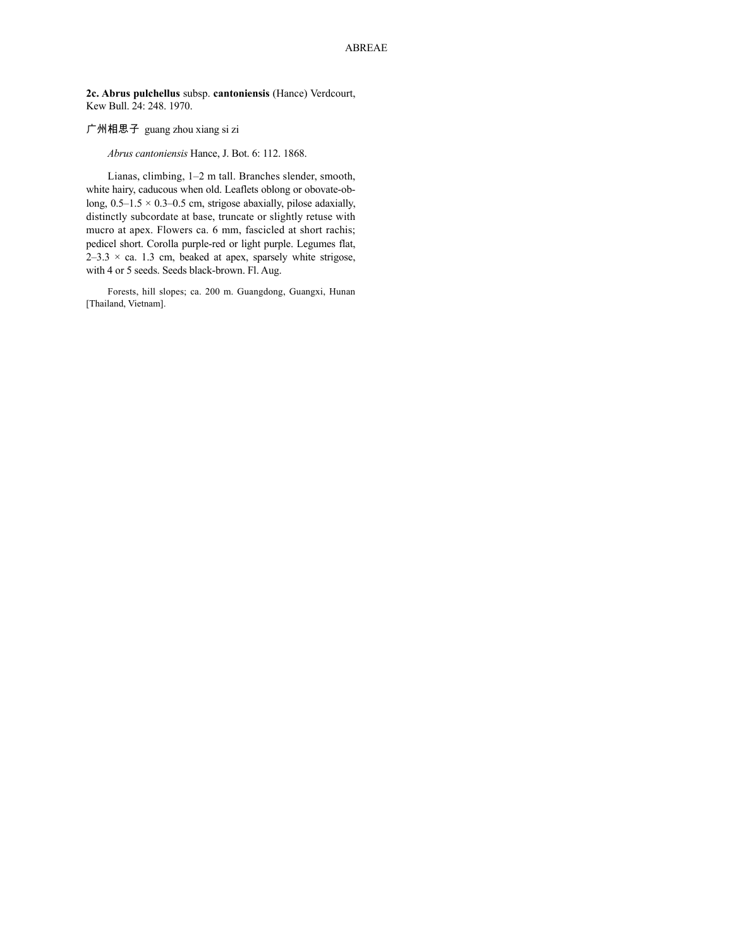**2c. Abrus pulchellus** subsp. **cantoniensis** (Hance) Verdcourt, Kew Bull. 24: 248. 1970.

# 广州相思子 guang zhou xiang si zi

*Abrus cantoniensis* Hance, J. Bot. 6: 112. 1868.

Lianas, climbing, 1–2 m tall. Branches slender, smooth, white hairy, caducous when old. Leaflets oblong or obovate-oblong,  $0.5-1.5 \times 0.3-0.5$  cm, strigose abaxially, pilose adaxially, distinctly subcordate at base, truncate or slightly retuse with mucro at apex. Flowers ca. 6 mm, fascicled at short rachis; pedicel short. Corolla purple-red or light purple. Legumes flat,  $2-3.3 \times$  ca. 1.3 cm, beaked at apex, sparsely white strigose, with 4 or 5 seeds. Seeds black-brown. Fl. Aug.

Forests, hill slopes; ca. 200 m. Guangdong, Guangxi, Hunan [Thailand, Vietnam].